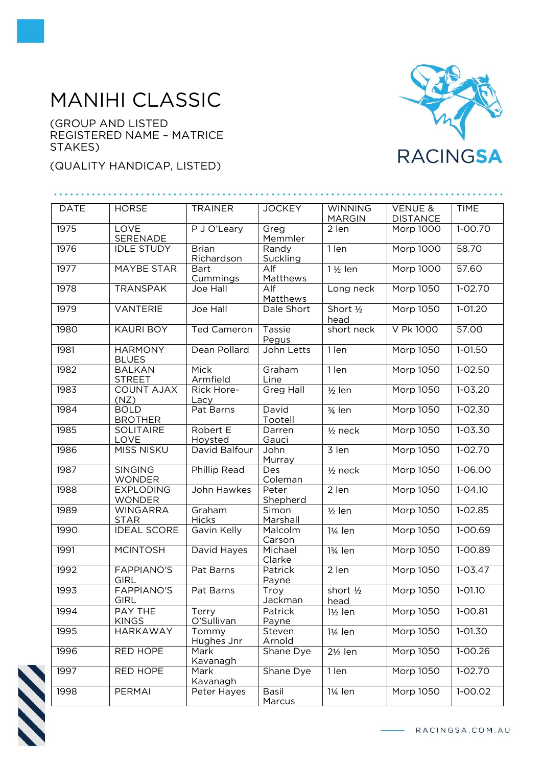## MANIHI CLASSIC

(GROUP AND LISTED REGISTERED NAME – MATRICE STAKES)

## (QUALITY HANDICAP, LISTED)



| <b>DATE</b> | <b>HORSE</b>                      | <b>TRAINER</b>             | <b>JOCKEY</b>                | <b>WINNING</b><br><b>MARGIN</b> | <b>VENUE &amp;</b><br><b>DISTANCE</b> | <b>TIME</b> |
|-------------|-----------------------------------|----------------------------|------------------------------|---------------------------------|---------------------------------------|-------------|
| 1975        | <b>LOVE</b><br>SERENADE           | P J O'Leary                | Greg<br>Memmler              | 2 len                           | Morp 1000                             | $1 - 00.70$ |
| 1976        | <b>IDLE STUDY</b>                 | <b>Brian</b><br>Richardson | Randy<br>Suckling            | $1$ len                         | <b>Morp 1000</b>                      | 58.70       |
| 1977        | <b>MAYBE STAR</b>                 | <b>Bart</b><br>Cummings    | $\overline{Alf}$<br>Matthews | $1\frac{1}{2}$ len              | <b>Morp 1000</b>                      | 57.60       |
| 1978        | <b>TRANSPAK</b>                   | Joe Hall                   | Alf<br>Matthews              | Long neck                       | <b>Morp 1050</b>                      | $1 - 02.70$ |
| 1979        | <b>VANTERIE</b>                   | Joe Hall                   | Dale Short                   | Short 1/2<br>head               | <b>Morp 1050</b>                      | $1 - 01.20$ |
| 1980        | <b>KAURI BOY</b>                  | Ted Cameron                | Tassie<br>Pegus              | short neck                      | V Pk 1000                             | 57.00       |
| 1981        | <b>HARMONY</b><br><b>BLUES</b>    | Dean Pollard               | John Letts                   | 1 len                           | Morp 1050                             | $1 - 01.50$ |
| 1982        | <b>BALKAN</b><br><b>STREET</b>    | Mick<br>Armfield           | Graham<br>Line               | 1 len                           | Morp 1050                             | $1 - 02.50$ |
| 1983        | <b>COUNT AJAX</b><br>(NZ)         | Rick Hore-<br>Lacy         | <b>Greg Hall</b>             | $1/2$ len                       | Morp 1050                             | $1 - 03.20$ |
| 1984        | <b>BOLD</b><br><b>BROTHER</b>     | Pat Barns                  | David<br>Tootell             | 3/ <sub>4</sub> len             | <b>Morp 1050</b>                      | $1 - 02.30$ |
| 1985        | <b>SOLITAIRE</b><br>LOVE          | Robert E<br>Hoysted        | Darren<br>Gauci              | $1/2$ neck                      | <b>Morp 1050</b>                      | $1 - 03.30$ |
| 1986        | <b>MISS NISKU</b>                 | David Balfour              | John<br>Murray               | 3 len                           | Morp 1050                             | 1-02.70     |
| 1987        | <b>SINGING</b><br><b>WONDER</b>   | <b>Phillip Read</b>        | Des<br>Coleman               | $1/2$ neck                      | <b>Morp 1050</b>                      | $1 - 06.00$ |
| 1988        | <b>EXPLODING</b><br><b>WONDER</b> | John Hawkes                | Peter<br>Shepherd            | 2 len                           | <b>Morp 1050</b>                      | $1 - 04.10$ |
| 1989        | <b>WINGARRA</b><br><b>STAR</b>    | Graham<br><b>Hicks</b>     | Simon<br>Marshall            | $1/2$ len                       | <b>Morp 1050</b>                      | $1 - 02.85$ |
| 1990        | <b>IDEAL SCORE</b>                | Gavin Kelly                | Malcolm<br>Carson            | 1¼ len                          | <b>Morp 1050</b>                      | $1 - 00.69$ |
| 1991        | <b>MCINTOSH</b>                   | David Hayes                | Michael<br>Clarke            | 13/ <sub>4</sub> len            | <b>Morp 1050</b>                      | $1 - 00.89$ |
| 1992        | <b>FAPPIANO'S</b><br><b>GIRL</b>  | Pat Barns                  | Patrick<br>Payne             | 2 len                           | <b>Morp 1050</b>                      | $1 - 03.47$ |
| 1993        | <b>FAPPIANO'S</b><br>GIRL         | Pat Barns                  | Troy<br>Jackman              | short 1/2<br>head               | Morp 1050                             | $1 - 01.10$ |
| 1994        | PAY THE<br><b>KINGS</b>           | Terry<br>O'Sullivan        | Patrick<br>Payne             | $1\frac{1}{2}$ len              | Morp 1050                             | 1-00.81     |
| 1995        | <b>HARKAWAY</b>                   | Tommy<br>Hughes Jnr        | Steven<br>Arnold             | 11/ <sub>4</sub> len            | <b>Morp 1050</b>                      | $1 - 01.30$ |
| 1996        | RED HOPE                          | Mark<br>Kavanagh           | Shane Dye                    | $2\frac{1}{2}$ len              | Morp 1050                             | 1-00.26     |
| 1997        | RED HOPE                          | Mark<br>Kavanagh           | Shane Dye                    | 1 len                           | Morp 1050                             | 1-02.70     |
| 1998        | PERMAI                            | Peter Hayes                | Basil<br>Marcus              | 11/ <sub>4</sub> len            | Morp 1050                             | 1-00.02     |